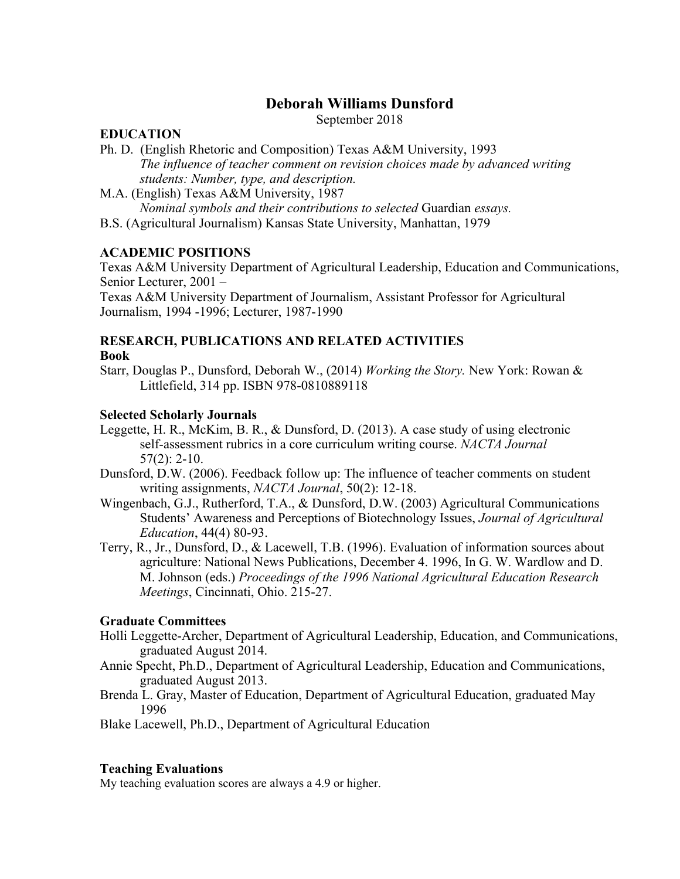# **Deborah Williams Dunsford**

September 2018

#### **EDUCATION**

- Ph. D. (English Rhetoric and Composition) Texas A&M University, 1993 *The influence of teacher comment on revision choices made by advanced writing students: Number, type, and description.*
- M.A. (English) Texas A&M University, 1987 *Nominal symbols and their contributions to selected* Guardian *essays.*
- B.S. (Agricultural Journalism) Kansas State University, Manhattan, 1979

## **ACADEMIC POSITIONS**

Texas A&M University Department of Agricultural Leadership, Education and Communications, Senior Lecturer, 2001 –

Texas A&M University Department of Journalism, Assistant Professor for Agricultural Journalism, 1994 -1996; Lecturer, 1987-1990

## **RESEARCH, PUBLICATIONS AND RELATED ACTIVITIES Book**

Starr, Douglas P., Dunsford, Deborah W., (2014) *Working the Story.* New York: Rowan & Littlefield, 314 pp. ISBN 978-0810889118

## **Selected Scholarly Journals**

- Leggette, H. R., McKim, B. R., & Dunsford, D. (2013). A case study of using electronic self-assessment rubrics in a core curriculum writing course. *NACTA Journal* 57(2): 2-10.
- Dunsford, D.W. (2006). Feedback follow up: The influence of teacher comments on student writing assignments, *NACTA Journal*, 50(2): 12-18.
- Wingenbach, G.J., Rutherford, T.A., & Dunsford, D.W. (2003) Agricultural Communications Students' Awareness and Perceptions of Biotechnology Issues, *Journal of Agricultural Education*, 44(4) 80-93.
- Terry, R., Jr., Dunsford, D., & Lacewell, T.B. (1996). Evaluation of information sources about agriculture: National News Publications, December 4. 1996, In G. W. Wardlow and D. M. Johnson (eds.) *Proceedings of the 1996 National Agricultural Education Research Meetings*, Cincinnati, Ohio. 215-27.

## **Graduate Committees**

- Holli Leggette-Archer, Department of Agricultural Leadership, Education, and Communications, graduated August 2014.
- Annie Specht, Ph.D., Department of Agricultural Leadership, Education and Communications, graduated August 2013.
- Brenda L. Gray, Master of Education, Department of Agricultural Education, graduated May 1996
- Blake Lacewell, Ph.D., Department of Agricultural Education

## **Teaching Evaluations**

My teaching evaluation scores are always a 4.9 or higher.